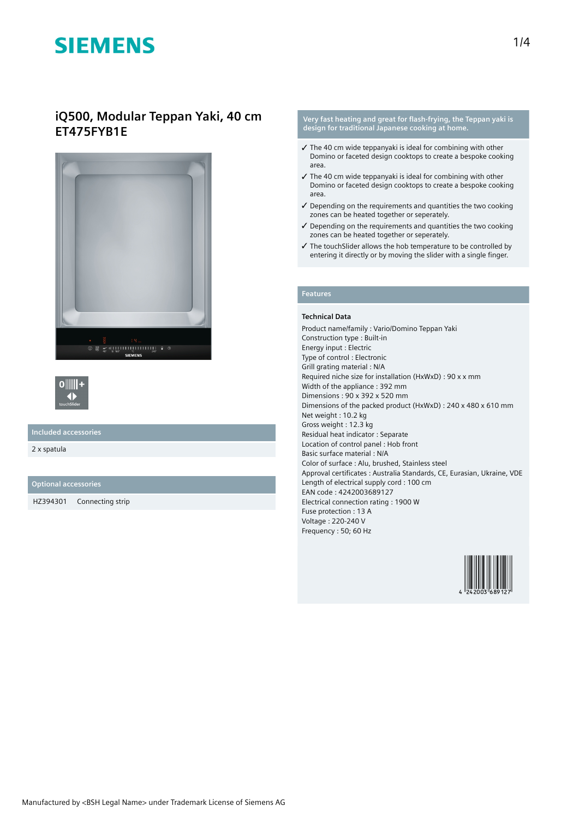## **iQ500, Modular Teppan Yaki, 40 cm ET475FYB1E**





### **Included accessories**

2 x spatula

#### **Optional accessories**

HZ394301 Connecting strip

#### **Very fast heating and great for flash-frying, the Teppan yaki is design for traditional Japanese cooking at home.**

- $\checkmark$  The 40 cm wide teppanyaki is ideal for combining with other Domino or faceted design cooktops to create a bespoke cooking area.
- $\checkmark$  The 40 cm wide teppanyaki is ideal for combining with other Domino or faceted design cooktops to create a bespoke cooking area.
- ✓ Depending on the requirements and quantities the two cooking zones can be heated together or seperately.
- ✓ Depending on the requirements and quantities the two cooking zones can be heated together or seperately.
- ✓ The touchSlider allows the hob temperature to be controlled by entering it directly or by moving the slider with a single finger.

### **Features**

### **Technical Data**

Product name/family : Vario/Domino Teppan Yaki Construction type : Built-in Energy input : Electric Type of control : Electronic Grill grating material : N/A Required niche size for installation (HxWxD) : 90 x x mm Width of the appliance : 392 mm Dimensions : 90 x 392 x 520 mm Dimensions of the packed product (HxWxD) : 240 x 480 x 610 mm Net weight : 10.2 kg Gross weight : 12.3 kg Residual heat indicator : Separate Location of control panel : Hob front Basic surface material : N/A Color of surface : Alu, brushed, Stainless steel Approval certificates : Australia Standards, CE, Eurasian, Ukraine, VDE Length of electrical supply cord : 100 cm EAN code : 4242003689127 Electrical connection rating : 1900 W Fuse protection : 13 A Voltage : 220-240 V Frequency : 50; 60 Hz

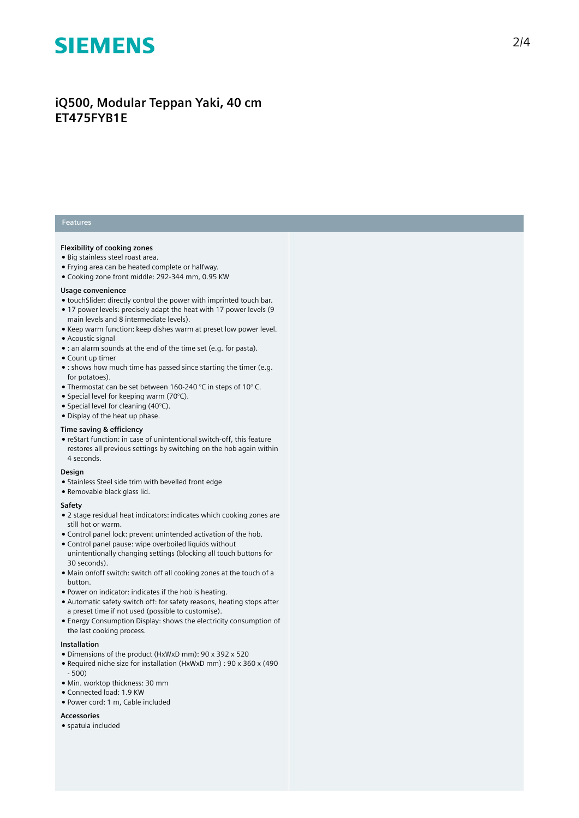## iQ500, Modular Teppan Yaki, 40 cm **ET475FYB1E**

### **Features**

#### **Flexibility of cooking zones**

- Big stainless steel roast area.
- Frying area can be heated complete or halfway.
- Cooking zone front middle: 292-344 mm, 0.95 KW

#### Usage convenience

- touchSlider: directly control the power with imprinted touch bar.
- 17 power levels: precisely adapt the heat with 17 power levels (9 main levels and 8 intermediate levels).
- Keep warm function: keep dishes warm at preset low power level.
- Acoustic signal
- : an alarm sounds at the end of the time set (e.g. for pasta).
- Count up timer
- $\bullet$  : shows how much time has passed since starting the timer (e.g. for potatoes).
- Thermostat can be set between 160-240 °C in steps of 10°C.
- Special level for keeping warm (70 $^{\circ}$ C).
- Special level for cleaning (40°C).
- Display of the heat up phase.

#### **Time saving & efficiency**

• reStart function: in case of unintentional switch-off, this feature restores all previous settings by switching on the hob again within 4 seconds.

#### **Design**

- Stainless Steel side trim with bevelled front edge
- Removable black glass lid.

#### **S a f e t y**

- $\bullet$  2 stage residual heat indicators: indicates which cooking zones are still hot or warm.
- Control panel lock: prevent unintended activation of the hob.
- Control panel pause: wipe overboiled liquids without unintentionally changing settings (blocking all touch buttons for 30 seconds).
- Main on/off switch: switch off all cooking zones at the touch of a button.
- Power on indicator: indicates if the hob is heating.
- Automatic safety switch off: for safety reasons, heating stops after a preset time if not used (possible to customise).
- $\bullet$  Energy Consumption Display: shows the electricity consumption of the last cooking process.

#### **I n s t a l l a t i o n**

- Dimensions of the product (HxWxD mm): 90 x 392 x 520
- Required niche size for installation (HxWxD mm) : 90 x 360 x (490 - 500)
- Min. worktop thickness: 30 mm
- Connected load: 1.9 KW
- Power cord: 1 m, Cable included

#### **A c c e s s o r i e s**

● spatula included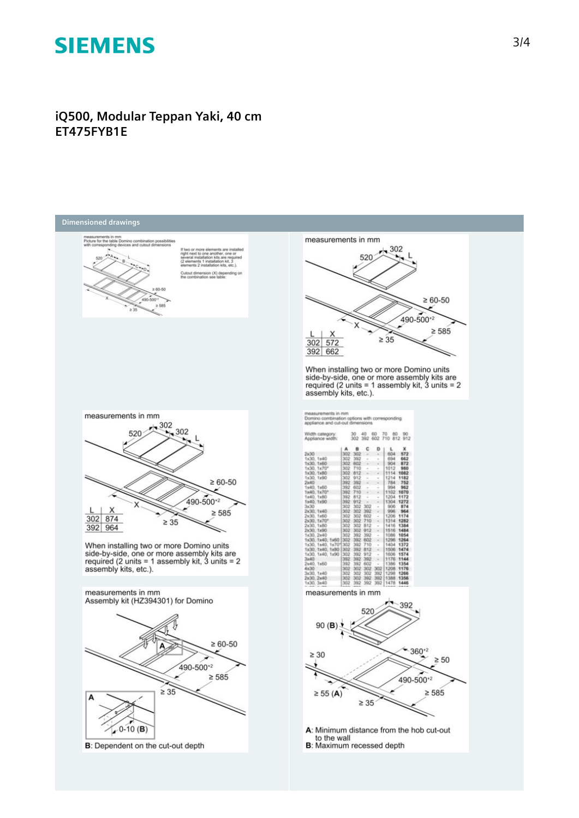## **iQ500, Modular Teppan Yaki, 40 cm ET475FYB1E**